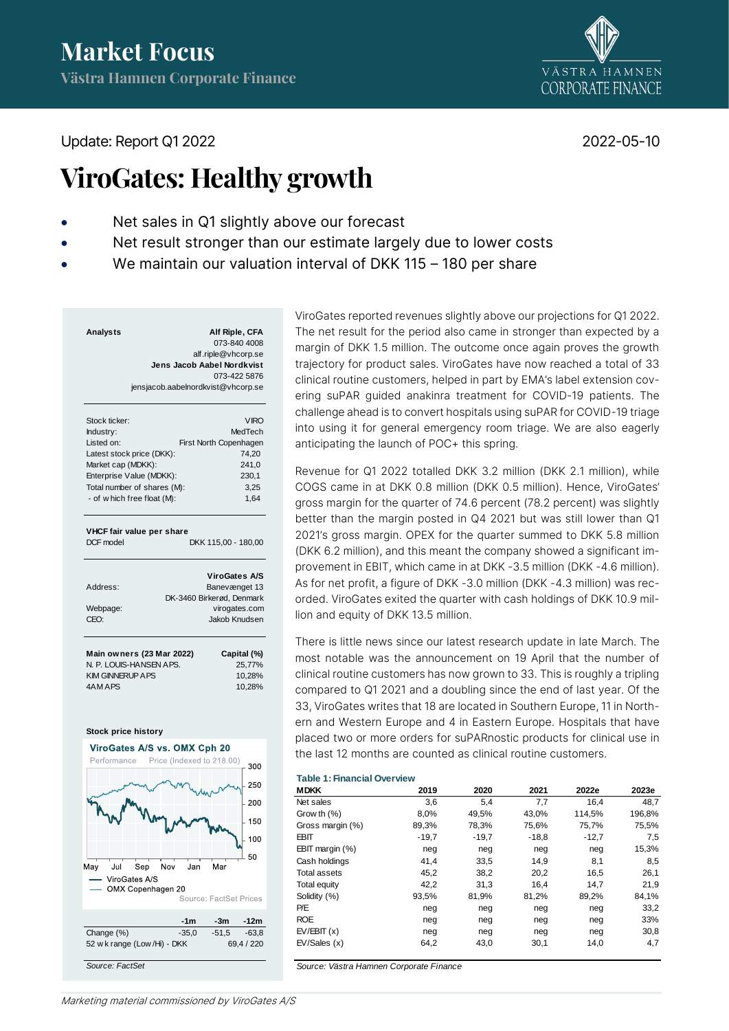

Update: Report Q1 2022 2022

# **ViroGates: Healthy growth**

- Net sales in Q1 slightly above our forecast
- Net result stronger than our estimate largely due to lower costs
- We maintain our valuation interval of DKK 115 180 per share

| Analysts | Alf Riple, CFA                     |
|----------|------------------------------------|
|          | 073-840 4008                       |
|          | alf.riple@vhcorp.se                |
|          | Jens Jacob Aabel Nordkvist         |
|          | 073-422 5876                       |
|          | jensjacob.aabelnordkvist@vhcorp.se |
|          |                                    |

| Stock ticker:                      | <b>VIRO</b>                      |  |  |  |  |
|------------------------------------|----------------------------------|--|--|--|--|
| Industry:                          | MedTech                          |  |  |  |  |
| Listed on:                         | First North Copenhagen           |  |  |  |  |
| Latest stock price (DKK):          | 74,20                            |  |  |  |  |
| Market cap (MDKK):                 | 241,0                            |  |  |  |  |
| Enterprise Value (MDKK):           | 230,1                            |  |  |  |  |
| Total number of shares (M):        | 3,25                             |  |  |  |  |
| - of which free float (M):         | 1,64                             |  |  |  |  |
| VHCF fair value per share          |                                  |  |  |  |  |
| DCF model                          | DKK 115,00 - 180,00              |  |  |  |  |
|                                    | <b>ViroGates A/S</b>             |  |  |  |  |
| Address:                           | Banevænget 13                    |  |  |  |  |
|                                    | DK-3460 Birkerød, Denmark        |  |  |  |  |
| Webpage:                           | virogates.com                    |  |  |  |  |
| CEO:                               | Jakob Knudsen                    |  |  |  |  |
| <b>KIM GINNERUP APS</b><br>4AM APS | 10,28%<br>10,28%                 |  |  |  |  |
| Stock price history                |                                  |  |  |  |  |
| ViroGates A/S vs. OMX Cph 20       |                                  |  |  |  |  |
| Performance                        | Price (Indexed to 218.00)<br>300 |  |  |  |  |
|                                    |                                  |  |  |  |  |
|                                    | 250                              |  |  |  |  |
|                                    | 200                              |  |  |  |  |
|                                    | 150                              |  |  |  |  |
|                                    | 100                              |  |  |  |  |
|                                    | 50                               |  |  |  |  |
| May<br>Jul<br>Sep<br>Nov           | Jan<br>Mar                       |  |  |  |  |
| ViroGates A/S                      |                                  |  |  |  |  |
| OMX Copenhagen 20                  | Source: FactSet Prices           |  |  |  |  |
|                                    | -1m<br>-12m<br>-3m               |  |  |  |  |
| Change (%)<br>$-35,0$              | $-51.5$<br>$-63,8$               |  |  |  |  |
| 52 w k range (Low /Hi) - DKK       | 69,4 / 220                       |  |  |  |  |

ViroGates reported revenues slightly above our projections for Q1 2022. The net result for the period also came in stronger than expected by a margin of DKK 1.5 million. The outcome once again proves the growth trajectory for product sales. ViroGates have now reached a total of 33 clinical routine customers, helped in part by EMA's label extension covering suPAR guided anakinra treatment for COVID-19 patients. The challenge ahead is to convert hospitals using suPAR for COVID-19 triage into using it for general emergency room triage. We are also eagerly anticipating the launch of POC+ this spring.

Revenue for Q1 2022 totalled DKK 3.2 million (DKK 2.1 million), while COGS came in at DKK 0.8 million (DKK 0.5 million). Hence, ViroGates' gross margin for the quarter of 74.6 percent (78.2 percent) was slightly better than the margin posted in Q4 2021 but was still lower than Q1 2021's gross margin. OPEX for the quarter summed to DKK 5.8 million (DKK 6.2 million), and this meant the company showed a significant improvement in EBIT, which came in at DKK -3.5 million (DKK -4.6 million). As for net profit, a figure of DKK -3.0 million (DKK -4.3 million) was recorded. ViroGates exited the quarter with cash holdings of DKK 10.9 million and equity of DKK 13.5 million.

There is little news since our latest research update in late March. The most notable was the announcement on 19 April that the number of clinical routine customers has now grown to 33. This is roughly a tripling compared to Q1 2021 and a doubling since the end of last year. Of the 33, ViroGates writes that 18 are located in Southern Europe, 11 in Northern and Western Europe and 4 in Eastern Europe. Hospitals that have placed two or more orders for suPARnostic products for clinical use in the last 12 months are counted as clinical routine customers.

## **Table 1: Financial Overview**

| <b>MDKK</b>        | 2019    | 2020    | 2021    | 2022e   | 2023e  |
|--------------------|---------|---------|---------|---------|--------|
| Net sales          | 3,6     | 5,4     | 7,7     | 16.4    | 48.7   |
| Grow th $(\%)$     | 8,0%    | 49,5%   | 43.0%   | 114,5%  | 196,8% |
| Gross margin (%)   | 89,3%   | 78,3%   | 75.6%   | 75,7%   | 75,5%  |
| EBIT               | $-19.7$ | $-19,7$ | $-18.8$ | $-12,7$ | 7,5    |
| EBIT margin $(\%)$ | neg     | neg     | neg     | neg     | 15,3%  |
| Cash holdings      | 41,4    | 33,5    | 14,9    | 8,1     | 8,5    |
| Total assets       | 45,2    | 38,2    | 20,2    | 16,5    | 26,1   |
| Total equity       | 42,2    | 31,3    | 16.4    | 14,7    | 21,9   |
| Solidity (%)       | 93,5%   | 81,9%   | 81,2%   | 89,2%   | 84,1%  |
| P/E                | neg     | neg     | neg     | neg     | 33,2   |
| <b>ROE</b>         | neg     | neg     | neg     | neg     | 33%    |
| EV/EBIT(x)         | neg     | neg     | neg     | neg     | 30,8   |
| EV/Sales(x)        | 64,2    | 43,0    | 30,1    | 14,0    | 4,7    |

*Source: Västra Hamnen Corporate Finance*

*Source: FactSet*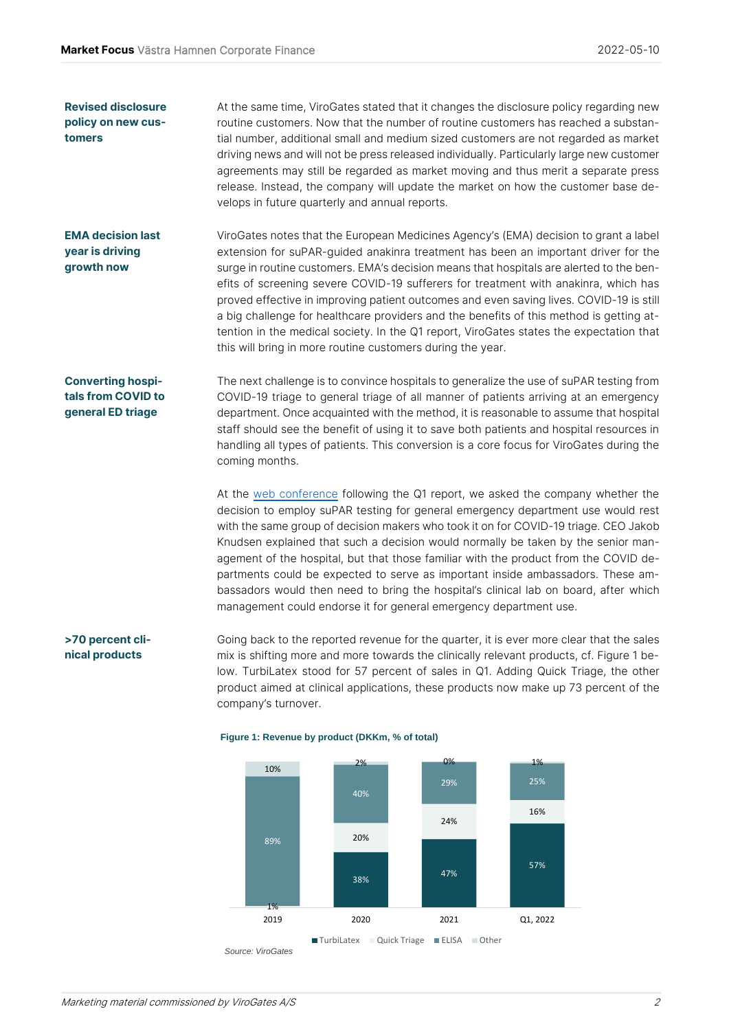At the same time, ViroGates stated that it changes the disclosure policy regarding new routine customers. Now that the number of routine customers has reached a substantial number, additional small and medium sized customers are not regarded as market driving news and will not be press released individually. Particularly large new customer agreements may still be regarded as market moving and thus merit a separate press release. Instead, the company will update the market on how the customer base develops in future quarterly and annual reports. **Revised disclosure policy on new customers**

ViroGates notes that the European Medicines Agency's (EMA) decision to grant a label extension for suPAR-guided anakinra treatment has been an important driver for the surge in routine customers. EMA's decision means that hospitals are alerted to the benefits of screening severe COVID-19 sufferers for treatment with anakinra, which has proved effective in improving patient outcomes and even saving lives. COVID-19 is still a big challenge for healthcare providers and the benefits of this method is getting attention in the medical society. In the Q1 report, ViroGates states the expectation that this will bring in more routine customers during the year. **EMA decision last year is driving growth now**

## **Converting hospitals from COVID to general ED triage**

The next challenge is to convince hospitals to generalize the use of suPAR testing from COVID-19 triage to general triage of all manner of patients arriving at an emergency department. Once acquainted with the method, it is reasonable to assume that hospital staff should see the benefit of using it to save both patients and hospital resources in handling all types of patients. This conversion is a core focus for ViroGates during the coming months.

At the [web conference](https://www.youtube.com/watch?v=v7uGDLStrqw) following the Q1 report, we asked the company whether the decision to employ suPAR testing for general emergency department use would rest with the same group of decision makers who took it on for COVID-19 triage. CEO Jakob Knudsen explained that such a decision would normally be taken by the senior management of the hospital, but that those familiar with the product from the COVID departments could be expected to serve as important inside ambassadors. These ambassadors would then need to bring the hospital's clinical lab on board, after which management could endorse it for general emergency department use.

Going back to the reported revenue for the quarter, it is ever more clear that the sales mix is shifting more and more towards the clinically relevant products, cf. Figure 1 below. TurbiLatex stood for 57 percent of sales in Q1. Adding Quick Triage, the other product aimed at clinical applications, these products now make up 73 percent of the company's turnover. **>70 percent clinical products**



#### **Figure 1: Revenue by product (DKKm, % of total)**

Marketing material commissioned by ViroGates A/S 2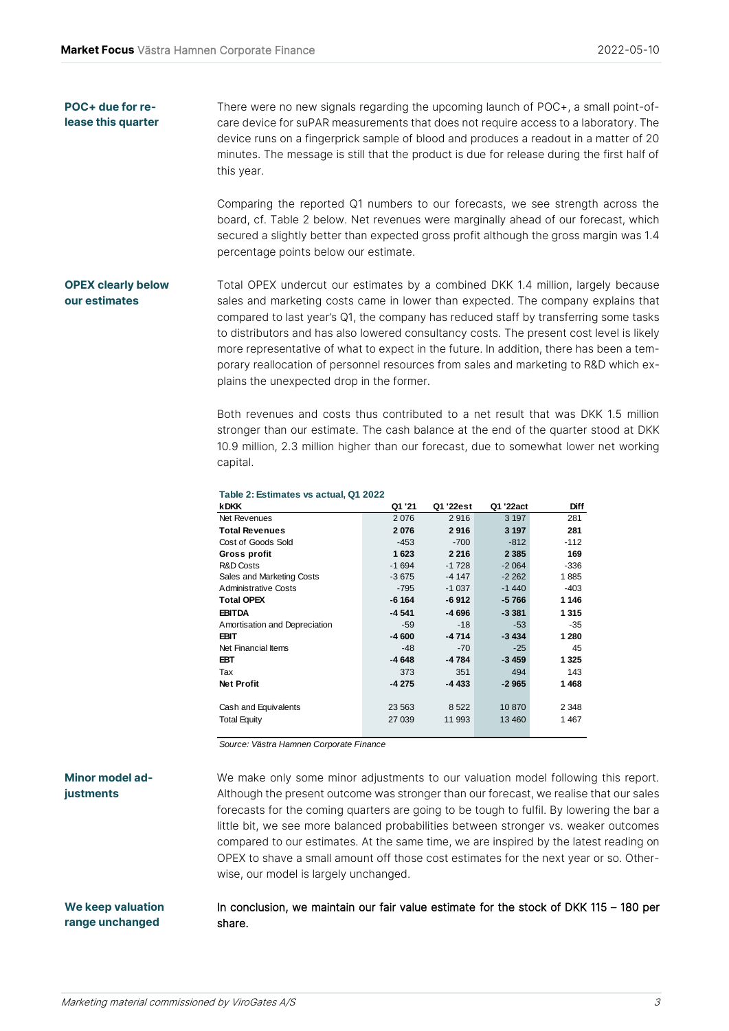#### There were no new signals regarding the upcoming launch of POC+, a small point-ofcare device for suPAR measurements that does not require access to a laboratory. The device runs on a fingerprick sample of blood and produces a readout in a matter of 20 minutes. The message is still that the product is due for release during the first half of this year. **POC+ due for release this quarter**

Comparing the reported Q1 numbers to our forecasts, we see strength across the board, cf. Table 2 below. Net revenues were marginally ahead of our forecast, which secured a slightly better than expected gross profit although the gross margin was 1.4 percentage points below our estimate.

#### Total OPEX undercut our estimates by a combined DKK 1.4 million, largely because sales and marketing costs came in lower than expected. The company explains that compared to last year's Q1, the company has reduced staff by transferring some tasks to distributors and has also lowered consultancy costs. The present cost level is likely more representative of what to expect in the future. In addition, there has been a temporary reallocation of personnel resources from sales and marketing to R&D which explains the unexpected drop in the former. **OPEX clearly below our estimates**

Both revenues and costs thus contributed to a net result that was DKK 1.5 million stronger than our estimate. The cash balance at the end of the quarter stood at DKK 10.9 million, 2.3 million higher than our forecast, due to somewhat lower net working capital.

| <b>kDKK</b>                   | Q1 '21  | Q1 '22est | Q1 '22act | <b>Diff</b> |
|-------------------------------|---------|-----------|-----------|-------------|
| Net Revenues                  | 2076    | 2916      | 3 1 9 7   | 281         |
| <b>Total Revenues</b>         | 2076    | 2916      | 3 1 9 7   | 281         |
| Cost of Goods Sold            | $-453$  | $-700$    | $-812$    | $-112$      |
| Gross profit                  | 1623    | 2 2 1 6   | 2 3 8 5   | 169         |
| <b>R&amp;D Costs</b>          | $-1694$ | $-1728$   | $-2064$   | $-336$      |
| Sales and Marketing Costs     | $-3675$ | $-4147$   | $-2262$   | 1885        |
| <b>Administrative Costs</b>   | -795    | $-1037$   | $-1440$   | $-403$      |
| <b>Total OPEX</b>             | $-6164$ | $-6912$   | $-5766$   | 1 1 4 6     |
| <b>EBITDA</b>                 | $-4541$ | -4 696    | $-3.381$  | 1315        |
| Amortisation and Depreciation | $-59$   | $-18$     | $-53$     | $-35$       |
| <b>EBIT</b>                   | $-4600$ | $-4714$   | $-3434$   | 1 2 8 0     |
| Net Financial Items           | $-48$   | $-70$     | $-25$     | 45          |
| <b>EBT</b>                    | $-4648$ | -4784     | $-3459$   | 1 3 2 5     |
| Tax                           | 373     | 351       | 494       | 143         |
| <b>Net Profit</b>             | $-4275$ | -4 433    | $-2965$   | 1468        |
|                               |         |           |           |             |
| Cash and Equivalents          | 23 5 63 | 8522      | 10870     | 2 3 4 8     |
| <b>Total Equity</b>           | 27 039  | 11 993    | 13 4 60   | 1467        |
|                               |         |           |           |             |

#### **Table 2: Estimates vs actual, Q1 2022**

*Source: Västra Hamnen Corporate Finance*

#### We make only some minor adjustments to our valuation model following this report. Although the present outcome was stronger than our forecast, we realise that our sales forecasts for the coming quarters are going to be tough to fulfil. By lowering the bar a little bit, we see more balanced probabilities between stronger vs. weaker outcomes compared to our estimates. At the same time, we are inspired by the latest reading on OPEX to shave a small amount off those cost estimates for the next year or so. Otherwise, our model is largely unchanged. **Minor model adjustments**

#### In conclusion, we maintain our fair value estimate for the stock of DKK 115 – 180 per share. **We keep valuation range unchanged**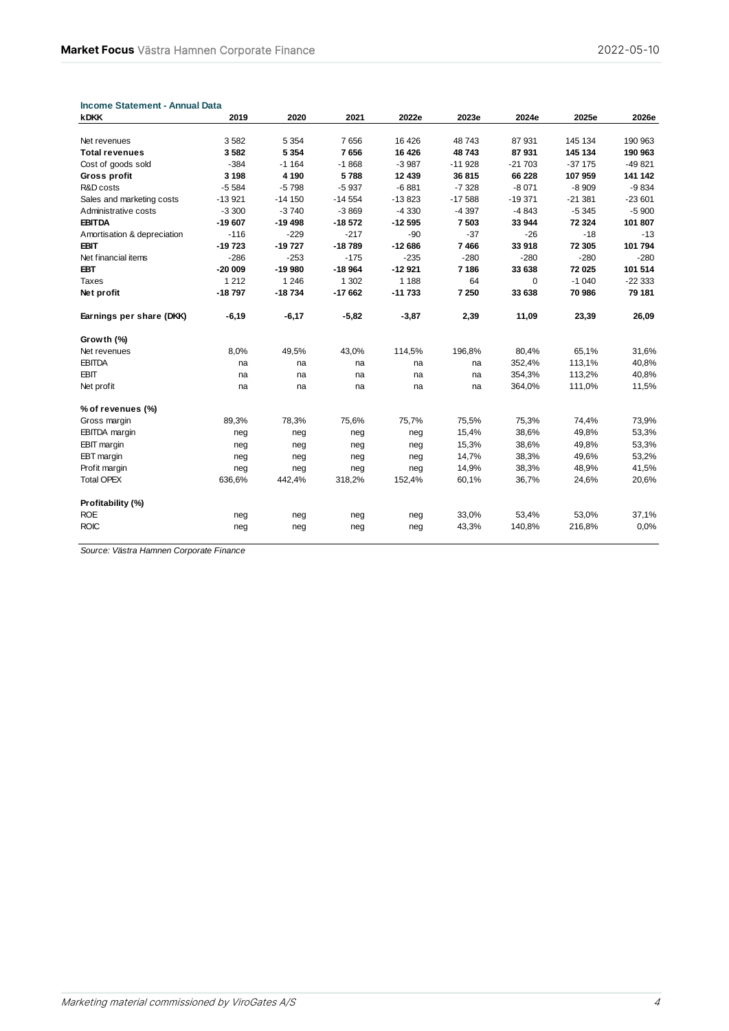|                                       |                    |                    |                 |                    | 2023e            | 2024e             | 2025e    | 2026e              |
|---------------------------------------|--------------------|--------------------|-----------------|--------------------|------------------|-------------------|----------|--------------------|
|                                       | 3582               | 5 3 5 4            | 7656            |                    | 48743            | 87931             | 145 134  | 190 963            |
| Net revenues<br><b>Total revenues</b> | 3582               | 5 3 5 4            | 7656            | 16 4 26<br>16 4 26 | 48743            | 87931             | 145 134  | 190 963            |
|                                       | $-384$             | $-1164$            | $-1868$         | $-3987$            | $-11928$         | $-21703$          | $-37175$ | $-49821$           |
| Cost of goods sold                    |                    |                    |                 |                    |                  |                   |          |                    |
| Gross profit<br>R&D costs             | 3 1 9 8<br>$-5584$ | 4 1 9 0<br>$-5798$ | 5788<br>$-5937$ | 12 439<br>$-6881$  | 36815<br>$-7328$ | 66 228<br>$-8071$ | 107959   | 141 142<br>$-9834$ |
|                                       |                    |                    |                 |                    |                  |                   | $-8909$  |                    |
| Sales and marketing costs             | $-13921$           | $-14150$           | $-14554$        | $-13823$           | $-17588$         | $-19371$          | $-21381$ | $-23601$           |
| Administrative costs                  | $-3300$            | $-3740$            | $-3869$         | $-4330$            | $-4397$          | $-4843$           | $-5345$  | $-5900$            |
| <b>EBITDA</b>                         | $-19607$           | $-19498$           | $-18572$        | $-12595$           | 7503             | 33 944            | 72 3 24  | 101 807            |
| Amortisation & depreciation           | $-116$             | $-229$             | $-217$          | $-90$              | $-37$            | $-26$             | $-18$    | $-13$              |
| <b>EBIT</b>                           | $-19723$           | $-19727$           | $-18789$        | $-12686$           | 7466             | 33918             | 72 305   | 101 794            |
| Net financial items                   | $-286$             | $-253$             | $-175$          | $-235$             | $-280$           | $-280$            | $-280$   | $-280$             |
| <b>EBT</b>                            | $-20009$           | $-19980$           | $-18964$        | $-12921$           | 7 186            | 33 638            | 72 025   | 101 514            |
| <b>Taxes</b>                          | 1 2 1 2            | 1 2 4 6            | 1 3 0 2         | 1 1 8 8            | 64               | $\mathbf 0$       | $-1040$  | $-22333$           |
| Net profit                            | $-18797$           | $-18734$           | $-17662$        | $-11733$           | 7 250            | 33 638            | 70 986   | 79 181             |
| Earnings per share (DKK)              | $-6,19$            | $-6,17$            | $-5,82$         | $-3,87$            | 2,39             | 11,09             | 23,39    | 26,09              |
| Growth (%)                            |                    |                    |                 |                    |                  |                   |          |                    |
| Net revenues                          | 8,0%               | 49,5%              | 43,0%           | 114,5%             | 196,8%           | 80,4%             | 65,1%    | 31,6%              |
| <b>EBITDA</b>                         | na                 | na                 | na              | na                 | na               | 352,4%            | 113,1%   | 40,8%              |
| <b>EBIT</b>                           | na                 | na                 | na              | na                 | na               | 354,3%            | 113,2%   | 40,8%              |
| Net profit                            | na                 | na                 | na              | na                 | na               | 364,0%            | 111,0%   | 11,5%              |
| % of revenues (%)                     |                    |                    |                 |                    |                  |                   |          |                    |
| Gross margin                          | 89,3%              | 78,3%              | 75,6%           | 75,7%              | 75,5%            | 75,3%             | 74,4%    | 73,9%              |
| <b>EBITDA</b> margin                  | neg                | neg                | neg             | neg                | 15,4%            | 38,6%             | 49,8%    | 53,3%              |
| EBIT margin                           | neg                | neg                | neg             | neg                | 15,3%            | 38,6%             | 49,8%    | 53,3%              |
| EBT margin                            | neg                | neg                | neg             | neg                | 14,7%            | 38,3%             | 49,6%    | 53,2%              |
| Profit margin                         | neg                | neg                | neg             | neg                | 14,9%            | 38,3%             | 48,9%    | 41,5%              |
| <b>Total OPEX</b>                     | 636,6%             | 442,4%             | 318,2%          | 152,4%             | 60,1%            | 36,7%             | 24,6%    | 20,6%              |
| Profitability (%)                     |                    |                    |                 |                    |                  |                   |          |                    |
| <b>ROE</b>                            | neg                | neg                | neg             | neg                | 33,0%            | 53,4%             | 53,0%    | 37,1%              |
| <b>ROIC</b>                           | neg                | neg                | neg             | neg                | 43,3%            | 140,8%            | 216,8%   | 0,0%               |

**Income Statement - Annual Data**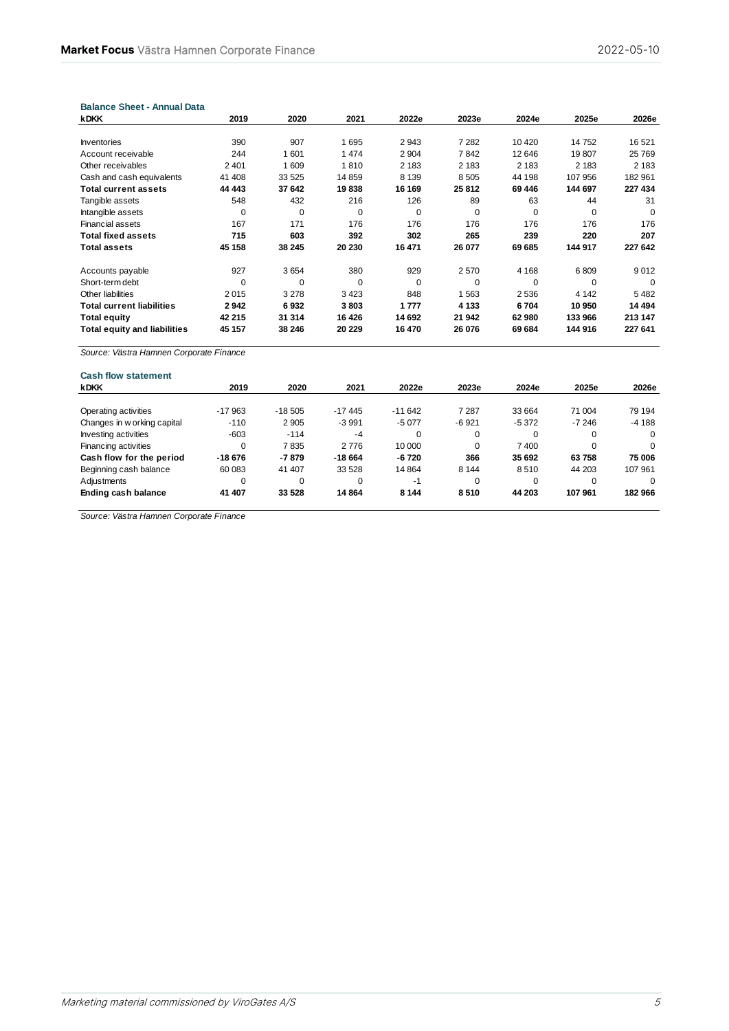| <b>Balance Sheet - Annual Data</b>  |          |         |         |             |          |             |          |          |
|-------------------------------------|----------|---------|---------|-------------|----------|-------------|----------|----------|
| <b>kDKK</b>                         | 2019     | 2020    | 2021    | 2022e       | 2023e    | 2024e       | 2025e    | 2026e    |
|                                     |          |         |         |             |          |             |          |          |
| <b>Inventories</b>                  | 390      | 907     | 1695    | 2943        | 7 2 8 2  | 10 4 20     | 14752    | 16 5 21  |
| Account receivable                  | 244      | 1601    | 1474    | 2 9 0 4     | 7842     | 12 646      | 19807    | 25 769   |
| Other receivables                   | 2 4 0 1  | 1609    | 1810    | 2 183       | 2 1 8 3  | 2 1 8 3     | 2 1 8 3  | 2 183    |
| Cash and cash equivalents           | 41 408   | 33 5 25 | 14859   | 8 1 3 9     | 8505     | 44 198      | 107 956  | 182 961  |
| <b>Total current assets</b>         | 44 4 43  | 37 642  | 19838   | 16 169      | 25 812   | 69 44 6     | 144 697  | 227 434  |
| Tangible assets                     | 548      | 432     | 216     | 126         | 89       | 63          | 44       | 31       |
| Intangible assets                   | $\Omega$ | 0       | 0       | $\mathbf 0$ | $\Omega$ | $\mathbf 0$ | $\Omega$ | $\Omega$ |
| <b>Financial assets</b>             | 167      | 171     | 176     | 176         | 176      | 176         | 176      | 176      |
| <b>Total fixed assets</b>           | 715      | 603     | 392     | 302         | 265      | 239         | 220      | 207      |
| <b>Total assets</b>                 | 45 158   | 38 245  | 20 230  | 16 471      | 26 077   | 69 685      | 144 917  | 227 642  |
| Accounts payable                    | 927      | 3654    | 380     | 929         | 2570     | 4 1 6 8     | 6809     | 9012     |
| Short-term debt                     | 0        | 0       | 0       | $\mathbf 0$ | 0        | 0           | 0        | 0        |
| Other liabilities                   | 2015     | 3 2 7 8 | 3423    | 848         | 1563     | 2536        | 4 1 4 2  | 5482     |
| <b>Total current liabilities</b>    | 2942     | 6932    | 3803    | 1777        | 4 1 3 3  | 6704        | 10 950   | 14 494   |
| <b>Total equity</b>                 | 42 215   | 31 314  | 16 4 26 | 14 692      | 21 942   | 62980       | 133 966  | 213 147  |
| <b>Total equity and liabilities</b> | 45 157   | 38 246  | 20 229  | 16 470      | 26 076   | 69 684      | 144 916  | 227 641  |

*Source: Västra Hamnen Corporate Finance*

| 2019     | 2020     | 2021     | 2022e    | 2023e    | 2024e   | 2025e    | 2026e    |
|----------|----------|----------|----------|----------|---------|----------|----------|
|          |          |          |          |          |         |          |          |
|          |          |          |          |          |         |          | 79 194   |
| $-110$   | 2905     | $-3991$  | $-5077$  | $-6.921$ | $-5372$ | $-7246$  | $-4188$  |
| $-603$   | $-114$   | $-4$     | $\Omega$ | 0        |         | $\Omega$ | $\Omega$ |
| $\Omega$ | 7835     | 2 7 7 6  | 10 000   | $\Omega$ | 7400    | $\Omega$ | $\Omega$ |
| -18 676  | $-7879$  | -18 664  | -6 720   | 366      | 35 692  | 63758    | 75 006   |
| 60 083   | 41 407   | 33 5 28  | 14 8 64  | 8 1 4 4  | 8510    | 44 203   | 107 961  |
| $\Omega$ | 0        | 0        | -1       | $\Omega$ |         |          | $\Omega$ |
| 41 407   | 33 5 28  | 14 8 64  | 8 1 4 4  | 8510     | 44 203  | 107 961  | 182 966  |
|          | $-17963$ | $-18505$ | $-17445$ | $-11642$ | 7 2 8 7 | 33 664   | 71 004   |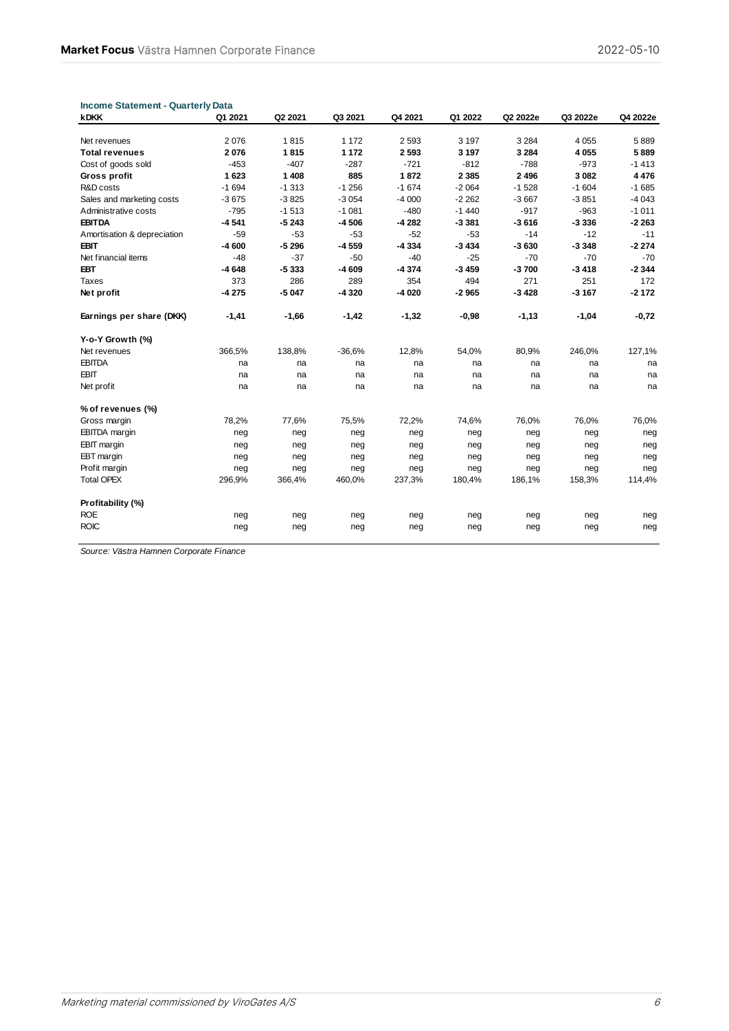| <b>Income Statement - Quarterly Data</b> |         |         |          |         |         |          |          |          |
|------------------------------------------|---------|---------|----------|---------|---------|----------|----------|----------|
| <b>kDKK</b>                              | Q1 2021 | Q2 2021 | Q3 2021  | Q4 2021 | Q1 2022 | Q2 2022e | Q3 2022e | Q4 2022e |
|                                          |         |         |          |         |         |          |          |          |
| Net revenues                             | 2076    | 1815    | 1 172    | 2 5 9 3 | 3 1 9 7 | 3 2 8 4  | 4 0 5 5  | 5889     |
| <b>Total revenues</b>                    | 2076    | 1815    | 1 1 7 2  | 2593    | 3 1 9 7 | 3 2 8 4  | 4 0 5 5  | 5889     |
| Cost of goods sold                       | $-453$  | $-407$  | $-287$   | $-721$  | $-812$  | $-788$   | $-973$   | $-1413$  |
| Gross profit                             | 1623    | 1 4 0 8 | 885      | 1872    | 2 3 8 5 | 2496     | 3 0 8 2  | 4 4 7 6  |
| R&D costs                                | $-1694$ | $-1313$ | $-1256$  | $-1674$ | $-2064$ | $-1528$  | $-1604$  | $-1685$  |
| Sales and marketing costs                | $-3675$ | $-3825$ | $-3054$  | $-4000$ | $-2262$ | $-3667$  | $-3851$  | $-4043$  |
| Administrative costs                     | $-795$  | $-1513$ | $-1081$  | $-480$  | $-1440$ | $-917$   | $-963$   | $-1011$  |
| <b>EBITDA</b>                            | $-4541$ | $-5243$ | $-4506$  | -4 282  | $-3381$ | $-3616$  | $-3336$  | $-2263$  |
| Amortisation & depreciation              | $-59$   | $-53$   | $-53$    | $-52$   | $-53$   | $-14$    | $-12$    | $-11$    |
| <b>EBIT</b>                              | $-4600$ | $-5296$ | $-4559$  | $-4334$ | $-3434$ | $-3630$  | $-3348$  | $-2274$  |
| Net financial items                      | $-48$   | $-37$   | $-50$    | $-40$   | $-25$   | $-70$    | $-70$    | $-70$    |
| <b>EBT</b>                               | $-4648$ | $-5333$ | $-4609$  | $-4374$ | $-3459$ | $-3700$  | $-3418$  | $-2344$  |
| Taxes                                    | 373     | 286     | 289      | 354     | 494     | 271      | 251      | 172      |
| Net profit                               | $-4275$ | $-5047$ | $-4320$  | $-4020$ | $-2965$ | $-3428$  | $-3167$  | $-2172$  |
| Earnings per share (DKK)                 | $-1,41$ | $-1,66$ | $-1,42$  | $-1,32$ | $-0,98$ | $-1,13$  | $-1,04$  | $-0,72$  |
| Y-o-Y Growth (%)                         |         |         |          |         |         |          |          |          |
| Net revenues                             | 366,5%  | 138,8%  | $-36.6%$ | 12,8%   | 54,0%   | 80,9%    | 246,0%   | 127,1%   |
| <b>EBITDA</b>                            | na      | na      | na       | na      | na      | na       | na       | na       |
| <b>EBIT</b>                              | na      | na      | na       | na      | na      | na       | na       | na       |
| Net profit                               | na      | na      | na       | na      | na      | na       | na       | na       |
| % of revenues (%)                        |         |         |          |         |         |          |          |          |
| Gross margin                             | 78,2%   | 77,6%   | 75,5%    | 72,2%   | 74,6%   | 76,0%    | 76,0%    | 76,0%    |
| <b>EBITDA</b> margin                     | neg     | neg     | neg      | neg     | neg     | neg      | neg      | neg      |
| <b>EBIT</b> margin                       | neg     | neg     | neg      | neg     | neg     | neg      | neg      | neg      |
| EBT margin                               | neg     | neg     | neg      | neg     | neg     | neg      | neg      | neg      |
| Profit margin                            | neg     | neg     | neg      | neg     | neg     | neg      | neg      | neg      |
| <b>Total OPEX</b>                        | 296,9%  | 366,4%  | 460,0%   | 237,3%  | 180,4%  | 186,1%   | 158,3%   | 114,4%   |
| Profitability (%)                        |         |         |          |         |         |          |          |          |
| <b>ROE</b>                               | neg     | neg     | neg      | neg     | neg     | neg      | neg      | neg      |
| <b>ROIC</b>                              | neg     | neg     | neg      | neg     | neg     | neg      | neg      | neg      |
|                                          |         |         |          |         |         |          |          |          |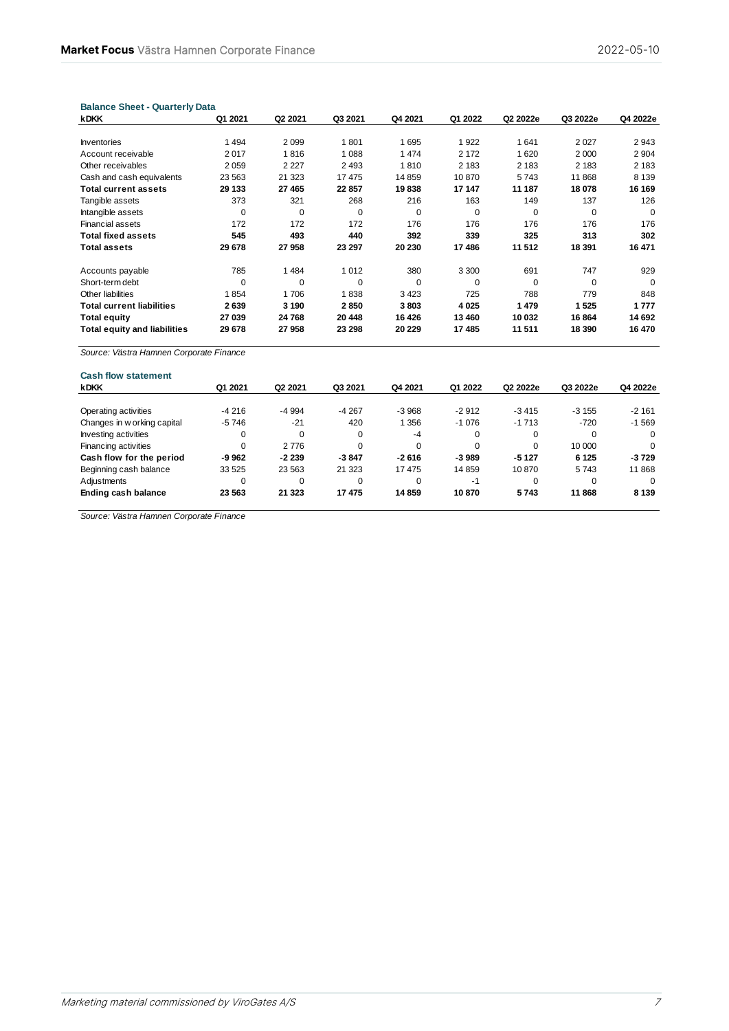| <b>kDKK</b>                         | Q1 2021 | Q <sub>2</sub> 2021 | Q3 2021 | Q4 2021  | Q1 2022     | Q2 2022e | Q3 2022e | Q4 2022e |
|-------------------------------------|---------|---------------------|---------|----------|-------------|----------|----------|----------|
|                                     |         |                     |         |          |             |          |          |          |
| <b>Inventories</b>                  | 1 4 9 4 | 2099                | 1801    | 1695     | 1922        | 1641     | 2 0 2 7  | 2943     |
| Account receivable                  | 2017    | 1816                | 1 0 8 8 | 1 4 7 4  | 2 1 7 2     | 1620     | 2 0 0 0  | 2 9 0 4  |
| Other receivables                   | 2 0 5 9 | 2 2 2 7             | 2 4 9 3 | 1810     | 2 1 8 3     | 2 1 8 3  | 2 1 8 3  | 2 1 8 3  |
| Cash and cash equivalents           | 23 5 63 | 21 323              | 17475   | 14 859   | 10870       | 5743     | 11868    | 8 1 3 9  |
| <b>Total current assets</b>         | 29 133  | 27 4 65             | 22857   | 19838    | 17 147      | 11 187   | 18 078   | 16 169   |
| Tangible assets                     | 373     | 321                 | 268     | 216      | 163         | 149      | 137      | 126      |
| Intangible assets                   | 0       | $\Omega$            | 0       | $\Omega$ | $\mathbf 0$ | $\Omega$ | 0        | $\Omega$ |
| <b>Financial assets</b>             | 172     | 172                 | 172     | 176      | 176         | 176      | 176      | 176      |
| <b>Total fixed assets</b>           | 545     | 493                 | 440     | 392      | 339         | 325      | 313      | 302      |
| <b>Total assets</b>                 | 29 678  | 27958               | 23 297  | 20 230   | 17486       | 11 512   | 18 391   | 16 471   |
| Accounts payable                    | 785     | 1484                | 1 0 1 2 | 380      | 3 3 0 0     | 691      | 747      | 929      |
| Short-term debt                     | 0       | $\mathbf 0$         | 0       | $\Omega$ | 0           | $\Omega$ | 0        | $\Omega$ |
| Other liabilities                   | 1854    | 1706                | 1838    | 3423     | 725         | 788      | 779      | 848      |
| <b>Total current liabilities</b>    | 2639    | 3 1 9 0             | 2850    | 3803     | 4 0 2 5     | 1479     | 1525     | 1777     |
| <b>Total equity</b>                 | 27 039  | 24 768              | 20 448  | 16 4 26  | 13 460      | 10 032   | 16 864   | 14 692   |
| <b>Total equity and liabilities</b> | 29 678  | 27958               | 23 298  | 20 229   | 17 485      | 11 511   | 18 390   | 16 470   |
|                                     |         |                     |         |          |             |          |          |          |

| <b>Cash flow statement</b>  |          |                     |         |          |          |          |          |          |
|-----------------------------|----------|---------------------|---------|----------|----------|----------|----------|----------|
| <b>kDKK</b>                 | Q1 2021  | Q <sub>2</sub> 2021 | Q3 2021 | Q4 2021  | Q1 2022  | Q2 2022e | Q3 2022e | Q4 2022e |
|                             |          |                     |         |          |          |          |          |          |
| Operating activities        | $-4216$  | -4 994              | $-4267$ | $-3968$  | $-2912$  | $-3415$  | $-3155$  | $-2161$  |
| Changes in w orking capital | -5 746   | $-21$               | 420     | 356      | $-1076$  | $-1713$  | $-720$   | $-1.569$ |
| Investing activities        | 0        | $\Omega$            | 0       | $-4$     | $\Omega$ | $\Omega$ | $\Omega$ | $\Omega$ |
| Financing activities        | $\Omega$ | 2776                | 0       | $\Omega$ | $\Omega$ |          | 10 000   | $\Omega$ |
| Cash flow for the period    | -9 962   | $-2239$             | $-3847$ | $-2616$  | $-3989$  | $-5127$  | 6 1 2 5  | $-3729$  |
| Beginning cash balance      | 33 5 25  | 23 5 63             | 21 3 23 | 17475    | 14 859   | 10870    | 5743     | 11868    |
| Adjustments                 | $\Omega$ | 0                   | 0       | $\Omega$ | -1       |          |          | $\Omega$ |
| Ending cash balance         | 23 563   | 21 3 23             | 17475   | 14859    | 10870    | 5743     | 11868    | 8 1 3 9  |